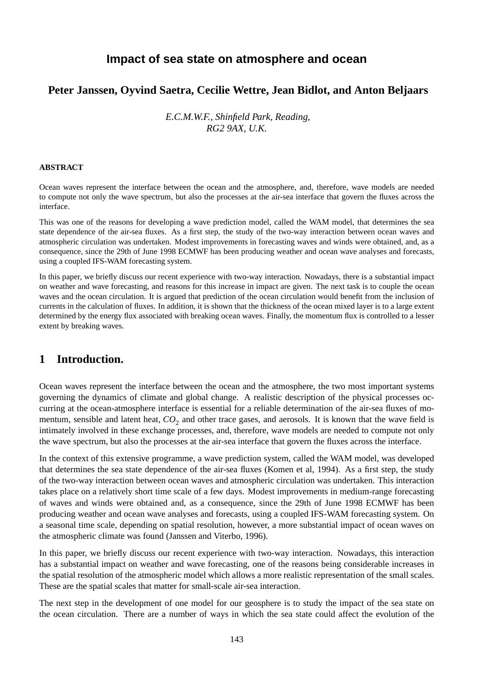# **Impact of sea state on atmosphere and ocean**

### **Peter Janssen, Oyvind Saetra, Cecilie Wettre, Jean Bidlot, and Anton Beljaars**

*E.C.M.W.F., Shinfield Park, Reading, RG2 9AX, U.K.*

#### **ABSTRACT**

Ocean waves represent the interface between the ocean and the atmosphere, and, therefore, wave models are needed to compute not only the wave spectrum, but also the processes at the air-sea interface that govern the fluxes across the interface.

This was one of the reasons for developing a wave prediction model, called the WAM model, that determines the sea state dependence of the air-sea fluxes. As a first step, the study of the two-way interaction between ocean waves and atmospheric circulation was undertaken. Modest improvements in forecasting waves and winds were obtained, and, as a consequence, since the 29th of June 1998 ECMWF has been producing weather and ocean wave analyses and forecasts, using a coupled IFS-WAM forecasting system.

In this paper, we briefly discuss our recent experience with two-way interaction. Nowadays, there is a substantial impact on weather and wave forecasting, and reasons for this increase in impact are given. The next task is to couple the ocean waves and the ocean circulation. It is argued that prediction of the ocean circulation would benefit from the inclusion of currents in the calculation of fluxes. In addition, it is shown that the thickness of the ocean mixed layer is to a large extent determined by the energy flux associated with breaking ocean waves. Finally, the momentum flux is controlled to a lesser extent by breaking waves.

# **1 Introduction.**

Ocean waves represent the interface between the ocean and the atmosphere, the two most important systems governing the dynamics of climate and global change. A realistic description of the physical processes occurring at the ocean-atmosphere interface is essential for a reliable determination of the air-sea fluxes of momentum, sensible and latent heat,  $CO_2$  and other trace gases, and aerosols. It is known that the wave field is intimately involved in these exchange processes, and, therefore, wave models are needed to compute not only the wave spectrum, but also the processes at the air-sea interface that govern the fluxes across the interface.

In the context of this extensive programme, a wave prediction system, called the WAM model, was developed that determines the sea state dependence of the air-sea fluxes (Komen et al, 1994). As a first step, the study of the two-way interaction between ocean waves and atmospheric circulation was undertaken. This interaction takes place on a relatively short time scale of a few days. Modest improvements in medium-range forecasting of waves and winds were obtained and, as a consequence, since the 29th of June 1998 ECMWF has been producing weather and ocean wave analyses and forecasts, using a coupled IFS-WAM forecasting system. On a seasonal time scale, depending on spatial resolution, however, a more substantial impact of ocean waves on the atmospheric climate was found (Janssen and Viterbo, 1996).

In this paper, we briefly discuss our recent experience with two-way interaction. Nowadays, this interaction has a substantial impact on weather and wave forecasting, one of the reasons being considerable increases in the spatial resolution of the atmospheric model which allows a more realistic representation of the small scales. These are the spatial scales that matter for small-scale air-sea interaction.

The next step in the development of one model for our geosphere is to study the impact of the sea state on the ocean circulation. There are a number of ways in which the sea state could affect the evolution of the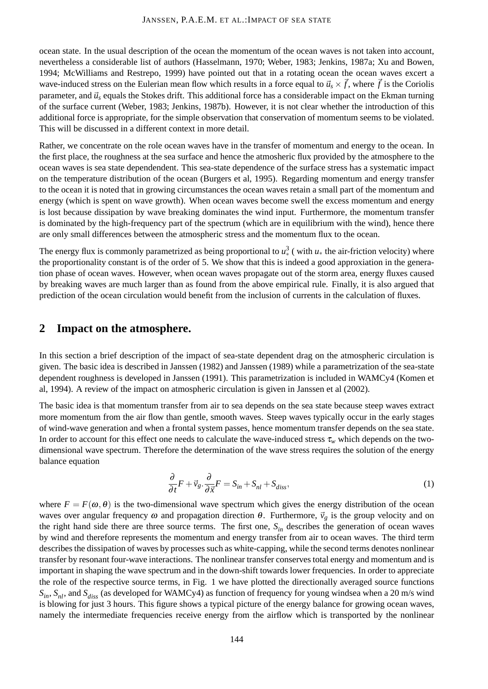ocean state. In the usual description of the ocean the momentum of the ocean waves is not taken into account, nevertheless a considerable list of authors (Hasselmann, 1970; Weber, 1983; Jenkins, 1987a; Xu and Bowen, 1994; McWilliams and Restrepo, 1999) have pointed out that in a rotating ocean the ocean waves excert a wave-induced stress on the Eulerian mean flow which results in a force equal to  $\vec{u}_s \times \vec{f}$ , where  $\vec{f}$  is the Coriolis parameter, and  $\vec{u}$  equals the Stokes drift. This additional force has a considerable impact on the Ekman turning of the surface current (Weber, 1983; Jenkins, 1987b). However, it is not clear whether the introduction of this additional force is appropriate, for the simple observation that conservation of momentum seems to be violated. This will be discussed in a different context in more detail.

Rather, we concentrate on the role ocean waves have in the transfer of momentum and energy to the ocean. In the first place, the roughness at the sea surface and hence the atmosheric flux provided by the atmosphere to the ocean waves is sea state dependendent. This sea-state dependence of the surface stress has a systematic impact on the temperature distribution of the ocean (Burgers et al, 1995). Regarding momentum and energy transfer to the ocean it is noted that in growing circumstances the ocean waves retain a small part of the momentum and energy (which is spent on wave growth). When ocean waves become swell the excess momentum and energy is lost because dissipation by wave breaking dominates the wind input. Furthermore, the momentum transfer is dominated by the high-frequency part of the spectrum (which are in equilibrium with the wind), hence there are only small differences between the atmospheric stress and the momentum flux to the ocean.

The energy flux is commonly parametrized as being proportional to  $u^3$  (with  $u_*$  the air-friction velocity) where the proportionality constant is of the order of 5. We show that this is indeed a good approxiation in the generation phase of ocean waves. However, when ocean waves propagate out of the storm area, energy fluxes caused by breaking waves are much larger than as found from the above empirical rule. Finally, it is also argued that prediction of the ocean circulation would benefit from the inclusion of currents in the calculation of fluxes.

# **2 Impact on the atmosphere.**

In this section a brief description of the impact of sea-state dependent drag on the atmospheric circulation is given. The basic idea is described in Janssen (1982) and Janssen (1989) while a parametrization of the sea-state dependent roughness is developed in Janssen (1991). This parametrization is included in WAMCy4 (Komen et al, 1994). A review of the impact on atmospheric circulation is given in Janssen et al (2002).

The basic idea is that momentum transfer from air to sea depends on the sea state because steep waves extract more momentum from the air flow than gentle, smooth waves. Steep waves typically occur in the early stages of wind-wave generation and when a frontal system passes, hence momentum transfer depends on the sea state. In order to account for this effect one needs to calculate the wave-induced stress  $\tau_w$  which depends on the twodimensional wave spectrum. Therefore the determination of the wave stress requires the solution of the energy balance equation

<span id="page-1-0"></span>
$$
\frac{\partial}{\partial t}F + \vec{v}_g \cdot \frac{\partial}{\partial \vec{x}}F = S_{in} + S_{nl} + S_{diss},\tag{1}
$$

where  $F = F(\omega, \theta)$  is the two-dimensional wave spectrum which gives the energy distribution of the ocean waves over angular frequency  $\omega$  and propagation direction  $\theta$ . Furthermore,  $\vec{v}_g$  is the group velocity and on the right hand side there are three source terms. The first one, *Sin* describes the generation of ocean waves by wind and therefore represents the momentum and energy transfer from air to ocean waves. The third term describes the dissipation of waves by processes such as white-capping, while the second terms denotes nonlinear transfer by resonant four-wave interactions. The nonlinear transfer conserves total energy and momentum and is important in shaping the wave spectrum and in the down-shift towards lower frequencies. In order to appreciate the role of the respective source terms, in Fig. 1 we have plotted the directionally averaged source functions  $S_{in}$ ,  $S_{ni}$ , and  $S_{disc}$  (as developed for WAMCy4) as function of frequency for young windsea when a 20 m/s wind is blowing for just 3 hours. This figure shows a typical picture of the energy balance for growing ocean waves, namely the intermediate frequencies receive energy from the airflow which is transported by the nonlinear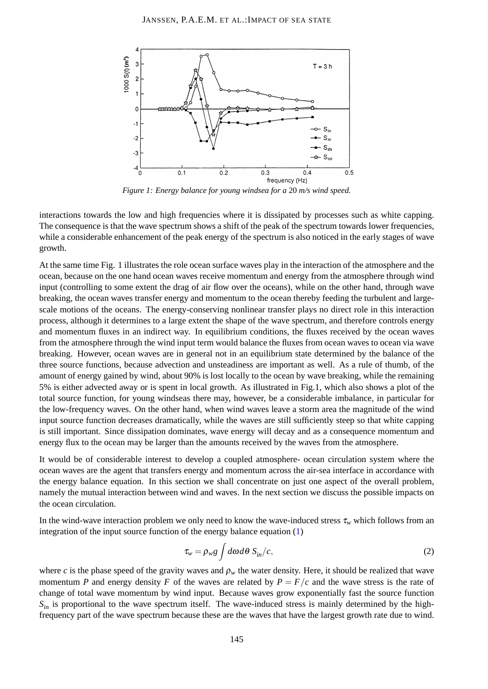

*Figure 1: Energy balance for young windsea for a* 20 *m/s wind speed.*

interactions towards the low and high frequencies where it is dissipated by processes such as white capping. The consequence is that the wave spectrum shows a shift of the peak of the spectrum towards lower frequencies, while a considerable enhancement of the peak energy of the spectrum is also noticed in the early stages of wave growth.

At the same time Fig. 1 illustrates the role ocean surface waves play in the interaction of the atmosphere and the ocean, because on the one hand ocean waves receive momentum and energy from the atmosphere through wind input (controlling to some extent the drag of air flow over the oceans), while on the other hand, through wave breaking, the ocean waves transfer energy and momentum to the ocean thereby feeding the turbulent and largescale motions of the oceans. The energy-conserving nonlinear transfer plays no direct role in this interaction process, although it determines to a large extent the shape of the wave spectrum, and therefore controls energy and momentum fluxes in an indirect way. In equilibrium conditions, the fluxes received by the ocean waves from the atmosphere through the wind input term would balance the fluxes from ocean waves to ocean via wave breaking. However, ocean waves are in general not in an equilibrium state determined by the balance of the three source functions, because advection and unsteadiness are important as well. As a rule of thumb, of the amount of energy gained by wind, about 90% is lost locally to the ocean by wave breaking, while the remaining 5% is either advected away or is spent in local growth. As illustrated in Fig.1, which also shows a plot of the total source function, for young windseas there may, however, be a considerable imbalance, in particular for the low-frequency waves. On the other hand, when wind waves leave a storm area the magnitude of the wind input source function decreases dramatically, while the waves are still sufficiently steep so that white capping is still important. Since dissipation dominates, wave energy will decay and as a consequence momentum and energy flux to the ocean may be larger than the amounts received by the waves from the atmosphere.

It would be of considerable interest to develop a coupled atmosphere- ocean circulation system where the ocean waves are the agent that transfers energy and momentum across the air-sea interface in accordance with the energy balance equation. In this section we shall concentrate on just one aspect of the overall problem, namely the mutual interaction between wind and waves. In the next section we discuss the possible impacts on the ocean circulation.

In the wind-wave interaction problem we only need to know the wave-induced stress  $\tau_w$  which follows from an integration of the input source function of the energy balance equation [\(1\)](#page-1-0)

<span id="page-2-0"></span>
$$
\tau_w = \rho_w g \int d\omega d\theta \ S_{in}/c, \tag{2}
$$

where *c* is the phase speed of the gravity waves and  $\rho_w$  the water density. Here, it should be realized that wave momentum *P* and energy density *F* of the waves are related by  $P = F/c$  and the wave stress is the rate of change of total wave momentum by wind input. Because waves grow exponentially fast the source function  $S_{in}$  is proportional to the wave spectrum itself. The wave-induced stress is mainly determined by the highfrequency part of the wave spectrum because these are the waves that have the largest growth rate due to wind.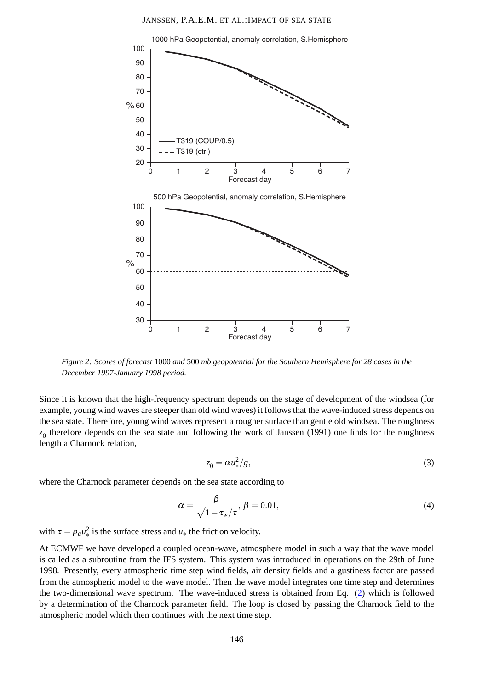

*Figure 2: Scores of forecast* 1000 *and* 500 *mb geopotential for the Southern Hemisphere for 28 cases in the December 1997-January 1998 period.*

Since it is known that the high-frequency spectrum depends on the stage of development of the windsea (for example, young wind waves are steeper than old wind waves) it follows that the wave-induced stress depends on the sea state. Therefore, young wind waves represent a rougher surface than gentle old windsea. The roughness  $z_0$  therefore depends on the sea state and following the work of Janssen (1991) one finds for the roughness length a Charnock relation,

$$
z_0 = \alpha u_*^2 / g,\tag{3}
$$

where the Charnock parameter depends on the sea state according to

$$
\alpha = \frac{\beta}{\sqrt{1 - \tau_w/\tau}}, \ \beta = 0.01,\tag{4}
$$

with  $\tau = \rho_a u_*^2$  is the surface stress and  $u_*$  the friction velocity.

At ECMWF we have developed a coupled ocean-wave, atmosphere model in such a way that the wave model is called as a subroutine from the IFS system. This system was introduced in operations on the 29th of June 1998. Presently, every atmospheric time step wind fields, air density fields and a gustiness factor are passed from the atmospheric model to the wave model. Then the wave model integrates one time step and determines the two-dimensional wave spectrum. The wave-induced stress is obtained from Eq. [\(2\)](#page-2-0) which is followed by a determination of the Charnock parameter field. The loop is closed by passing the Charnock field to the atmospheric model which then continues with the next time step.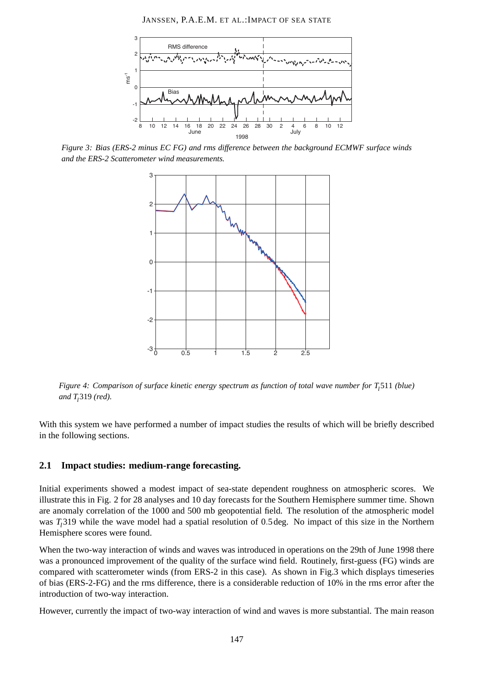JANSSEN, P.A.E.M. ET AL.:IMPACT OF SEA STATE



*Figure 3: Bias (ERS-2 minus EC FG) and rms difference between the background ECMWF surface winds and the ERS-2 Scatterometer wind measurements.*



*Figure 4: Comparison of surface kinetic energy spectrum as function of total wave number for T<sup>l</sup>* 511 *(blue) and T<sup>l</sup>* 319 *(red).*

With this system we have performed a number of impact studies the results of which will be briefly described in the following sections.

### **2.1 Impact studies: medium-range forecasting.**

Initial experiments showed a modest impact of sea-state dependent roughness on atmospheric scores. We illustrate this in Fig. 2 for 28 analyses and 10 day forecasts for the Southern Hemisphere summer time. Shown are anomaly correlation of the 1000 and 500 mb geopotential field. The resolution of the atmospheric model was *T<sup>l</sup>* 319 while the wave model had a spatial resolution of 0.5deg. No impact of this size in the Northern Hemisphere scores were found.

When the two-way interaction of winds and waves was introduced in operations on the 29th of June 1998 there was a pronounced improvement of the quality of the surface wind field. Routinely, first-guess (FG) winds are compared with scatterometer winds (from ERS-2 in this case). As shown in Fig.3 which displays timeseries of bias (ERS-2-FG) and the rms difference, there is a considerable reduction of 10% in the rms error after the introduction of two-way interaction.

However, currently the impact of two-way interaction of wind and waves is more substantial. The main reason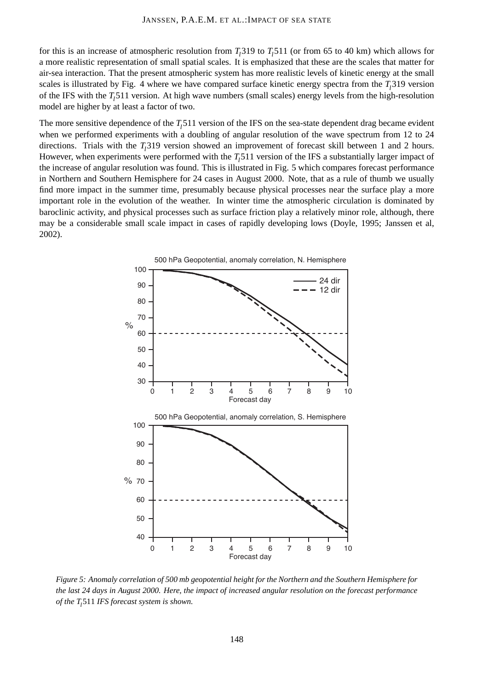for this is an increase of atmospheric resolution from  $T_l$ 319 to  $T_l$ 511 (or from 65 to 40 km) which allows for a more realistic representation of small spatial scales. It is emphasized that these are the scales that matter for air-sea interaction. That the present atmospheric system has more realistic levels of kinetic energy at the small scales is illustrated by Fig. 4 where we have compared surface kinetic energy spectra from the  $T<sub>l</sub>$  319 version of the IFS with the *T<sup>l</sup>* 511 version. At high wave numbers (small scales) energy levels from the high-resolution model are higher by at least a factor of two.

The more sensitive dependence of the *T<sup>l</sup>* 511 version of the IFS on the sea-state dependent drag became evident when we performed experiments with a doubling of angular resolution of the wave spectrum from 12 to 24 directions. Trials with the *T<sup>l</sup>* 319 version showed an improvement of forecast skill between 1 and 2 hours. However, when experiments were performed with the  $T_l$ 511 version of the IFS a substantially larger impact of the increase of angular resolution was found. This is illustrated in Fig. 5 which compares forecast performance in Northern and Southern Hemisphere for 24 cases in August 2000. Note, that as a rule of thumb we usually find more impact in the summer time, presumably because physical processes near the surface play a more important role in the evolution of the weather. In winter time the atmospheric circulation is dominated by baroclinic activity, and physical processes such as surface friction play a relatively minor role, although, there may be a considerable small scale impact in cases of rapidly developing lows (Doyle, 1995; Janssen et al, 2002).



*Figure 5: Anomaly correlation of 500 mb geopotential height for the Northern and the Southern Hemisphere for the last 24 days in August 2000. Here, the impact of increased angular resolution on the forecast performance of the T<sup>l</sup>* 511 *IFS forecast system is shown.*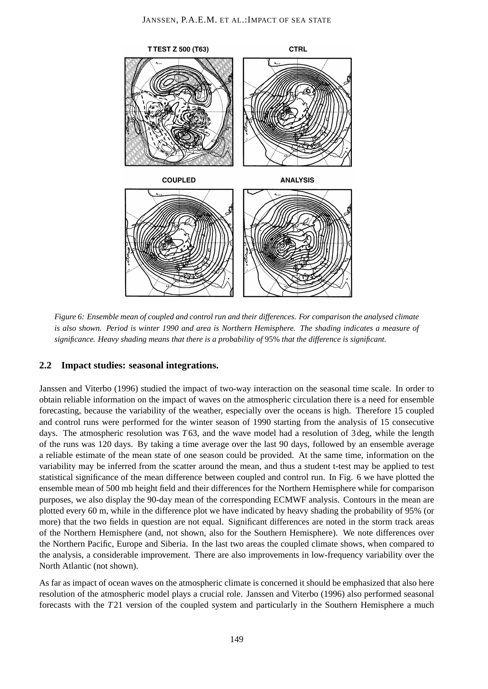

*Figure 6: Ensemble mean of coupled and control run and their differences. For comparison the analysed climate is also shown. Period is winter 1990 and area is Northern Hemisphere. The shading indicates a measure of significance. Heavy shading means that there is a probability of* 95% *that the difference is significant.*

### **2.2 Impact studies: seasonal integrations.**

Janssen and Viterbo (1996) studied the impact of two-way interaction on the seasonal time scale. In order to obtain reliable information on the impact of waves on the atmospheric circulation there is a need for ensemble forecasting, because the variability of the weather, especially over the oceans is high. Therefore 15 coupled and control runs were performed for the winter season of 1990 starting from the analysis of 15 consecutive days. The atmospheric resolution was *T*63, and the wave model had a resolution of 3deg, while the length of the runs was 120 days. By taking a time average over the last 90 days, followed by an ensemble average a reliable estimate of the mean state of one season could be provided. At the same time, information on the variability may be inferred from the scatter around the mean, and thus a student t-test may be applied to test statistical significance of the mean difference between coupled and control run. In Fig. 6 we have plotted the ensemble mean of 500 mb height field and their differences for the Northern Hemisphere while for comparison purposes, we also display the 90-day mean of the corresponding ECMWF analysis. Contours in the mean are plotted every 60 m, while in the difference plot we have indicated by heavy shading the probability of 95% (or more) that the two fields in question are not equal. Significant differences are noted in the storm track areas of the Northern Hemisphere (and, not shown, also for the Southern Hemisphere). We note differences over the Northern Pacific, Europe and Siberia. In the last two areas the coupled climate shows, when compared to the analysis, a considerable improvement. There are also improvements in low-frequency variability over the North Atlantic (not shown).

As far as impact of ocean waves on the atmospheric climate is concerned it should be emphasized that also here resolution of the atmospheric model plays a crucial role. Janssen and Viterbo (1996) also performed seasonal forecasts with the *T*21 version of the coupled system and particularly in the Southern Hemisphere a much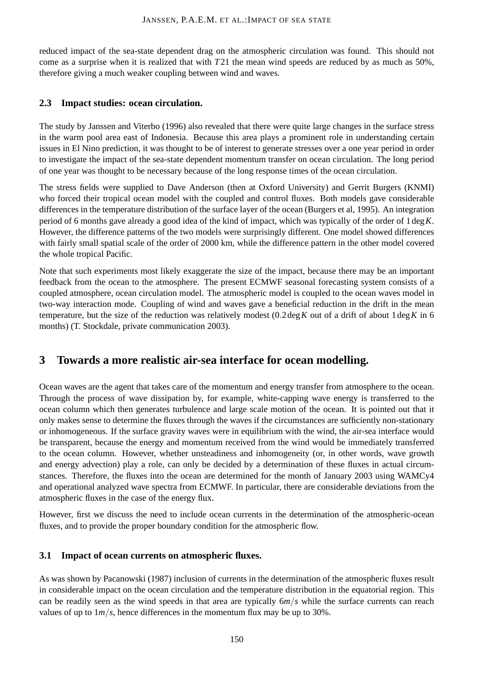reduced impact of the sea-state dependent drag on the atmospheric circulation was found. This should not come as a surprise when it is realized that with *T*21 the mean wind speeds are reduced by as much as 50%, therefore giving a much weaker coupling between wind and waves.

### **2.3 Impact studies: ocean circulation.**

The study by Janssen and Viterbo (1996) also revealed that there were quite large changes in the surface stress in the warm pool area east of Indonesia. Because this area plays a prominent role in understanding certain issues in El Nino prediction, it was thought to be of interest to generate stresses over a one year period in order to investigate the impact of the sea-state dependent momentum transfer on ocean circulation. The long period of one year was thought to be necessary because of the long response times of the ocean circulation.

The stress fields were supplied to Dave Anderson (then at Oxford University) and Gerrit Burgers (KNMI) who forced their tropical ocean model with the coupled and control fluxes. Both models gave considerable differences in the temperature distribution of the surface layer of the ocean (Burgers et al, 1995). An integration period of 6 months gave already a good idea of the kind of impact, which was typically of the order of 1deg*K*. However, the difference patterns of the two models were surprisingly different. One model showed differences with fairly small spatial scale of the order of 2000 km, while the difference pattern in the other model covered the whole tropical Pacific.

Note that such experiments most likely exaggerate the size of the impact, because there may be an important feedback from the ocean to the atmosphere. The present ECMWF seasonal forecasting system consists of a coupled atmosphere, ocean circulation model. The atmospheric model is coupled to the ocean waves model in two-way interaction mode. Coupling of wind and waves gave a beneficial reduction in the drift in the mean temperature, but the size of the reduction was relatively modest  $(0.2 \deg K)$  out of a drift of about  $1 \deg K$  in 6 months) (T. Stockdale, private communication 2003).

# **3 Towards a more realistic air-sea interface for ocean modelling.**

Ocean waves are the agent that takes care of the momentum and energy transfer from atmosphere to the ocean. Through the process of wave dissipation by, for example, white-capping wave energy is transferred to the ocean column which then generates turbulence and large scale motion of the ocean. It is pointed out that it only makes sense to determine the fluxes through the waves if the circumstances are sufficiently non-stationary or inhomogeneous. If the surface gravity waves were in equilibrium with the wind, the air-sea interface would be transparent, because the energy and momentum received from the wind would be immediately transferred to the ocean column. However, whether unsteadiness and inhomogeneity (or, in other words, wave growth and energy advection) play a role, can only be decided by a determination of these fluxes in actual circumstances. Therefore, the fluxes into the ocean are determined for the month of January 2003 using WAMCy4 and operational analyzed wave spectra from ECMWF. In particular, there are considerable deviations from the atmospheric fluxes in the case of the energy flux.

However, first we discuss the need to include ocean currents in the determination of the atmospheric-ocean fluxes, and to provide the proper boundary condition for the atmospheric flow.

### **3.1 Impact of ocean currents on atmospheric fluxes.**

As was shown by Pacanowski (1987) inclusion of currents in the determination of the atmospheric fluxes result in considerable impact on the ocean circulation and the temperature distribution in the equatorial region. This can be readily seen as the wind speeds in that area are typically 6*m*/*s* while the surface currents can reach values of up to  $1m/s$ , hence differences in the momentum flux may be up to 30%.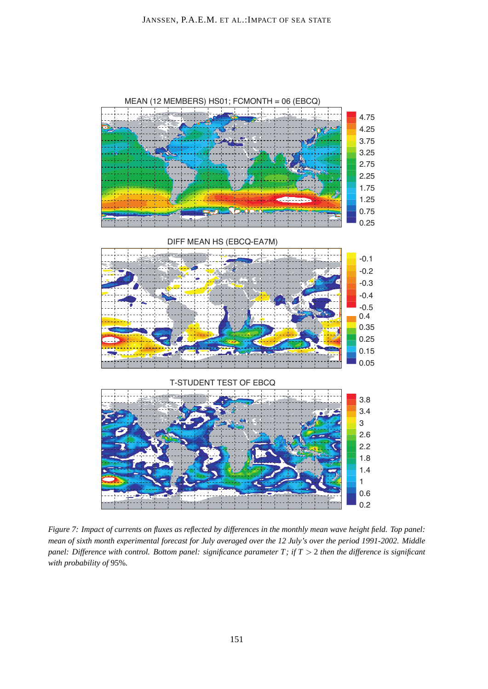

*Figure 7: Impact of currents on fluxes as reflected by differences in the monthly mean wave height field. Top panel: mean of sixth month experimental forecast for July averaged over the 12 July's over the period 1991-2002. Middle panel: Difference with control. Bottom panel: significance parameter T; if T > 2 then the difference is significant with probability of* 95%*.*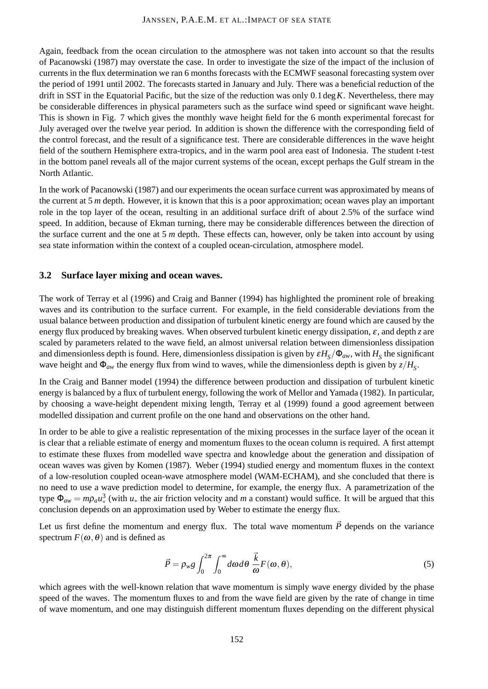Again, feedback from the ocean circulation to the atmosphere was not taken into account so that the results of Pacanowski (1987) may overstate the case. In order to investigate the size of the impact of the inclusion of currents in the flux determination we ran 6 months forecasts with the ECMWF seasonal forecasting system over the period of 1991 until 2002. The forecasts started in January and July. There was a beneficial reduction of the drift in SST in the Equatorial Pacific, but the size of the reduction was only 0.1deg*K*. Nevertheless, there may be considerable differences in physical parameters such as the surface wind speed or significant wave height. This is shown in Fig. 7 which gives the monthly wave height field for the 6 month experimental forecast for July averaged over the twelve year period. In addition is shown the difference with the corresponding field of the control forecast, and the result of a significance test. There are considerable differences in the wave height field of the southern Hemisphere extra-tropics, and in the warm pool area east of Indonesia. The student t-test in the bottom panel reveals all of the major current systems of the ocean, except perhaps the Gulf stream in the North Atlantic.

In the work of Pacanowski (1987) and our experiments the ocean surface current was approximated by means of the current at 5 *m* depth. However, it is known that this is a poor approximation; ocean waves play an important role in the top layer of the ocean, resulting in an additional surface drift of about 2.5% of the surface wind speed. In addition, because of Ekman turning, there may be considerable differences between the direction of the surface current and the one at 5 *m* depth. These effects can, however, only be taken into account by using sea state information within the context of a coupled ocean-circulation, atmosphere model.

### **3.2 Surface layer mixing and ocean waves.**

The work of Terray et al (1996) and Craig and Banner (1994) has highlighted the prominent role of breaking waves and its contribution to the surface current. For example, in the field considerable deviations from the usual balance between production and dissipation of turbulent kinetic energy are found which are caused by the energy flux produced by breaking waves. When observed turbulent kinetic energy dissipation,  $\varepsilon$ , and depth  $\zeta$  are scaled by parameters related to the wave field, an almost universal relation between dimensionless dissipation and dimensionless depth is found. Here, dimensionless dissipation is given by  $\varepsilon H_S/\Phi_{aw}$ , with  $H_S$  the significant wave height and  $\Phi_{aw}$  the energy flux from wind to waves, while the dimensionless depth is given by  $z/H_s$ .

In the Craig and Banner model (1994) the difference between production and dissipation of turbulent kinetic energy is balanced by a flux of turbulent energy, following the work of Mellor and Yamada (1982). In particular, by choosing a wave-height dependent mixing length, Terray et al (1999) found a good agreement between modelled dissipation and current profile on the one hand and observations on the other hand.

In order to be able to give a realistic representation of the mixing processes in the surface layer of the ocean it is clear that a reliable estimate of energy and momentum fluxes to the ocean column is required. A first attempt to estimate these fluxes from modelled wave spectra and knowledge about the generation and dissipation of ocean waves was given by Komen (1987). Weber (1994) studied energy and momentum fluxes in the context of a low-resolution coupled ocean-wave atmosphere model (WAM-ECHAM), and she concluded that there is no need to use a wave prediction model to determine, for example, the energy flux. A parametrization of the type  $\Phi_{aw} = m \rho_a u_*^3$  (with  $u_*$  the air friction velocity and *m* a constant) would suffice. It will be argued that this conclusion depends on an approximation used by Weber to estimate the energy flux.

Let us first define the momentum and energy flux. The total wave momentum  $\vec{P}$  depends on the variance spectrum  $F(\omega,\theta)$  and is defined as

$$
\vec{P} = \rho_{w} g \int_0^{2\pi} \int_0^{\infty} d\omega d\theta \frac{\vec{k}}{\omega} F(\omega, \theta), \tag{5}
$$

which agrees with the well-known relation that wave momentum is simply wave energy divided by the phase speed of the waves. The momentum fluxes to and from the wave field are given by the rate of change in time of wave momentum, and one may distinguish different momentum fluxes depending on the different physical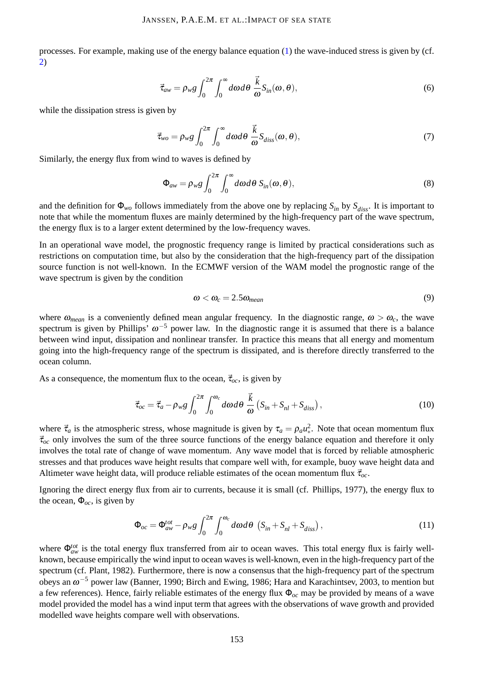processes. For example, making use of the energy balance equation [\(1\)](#page-1-0) the wave-induced stress is given by (cf. [2\)](#page-2-0)

$$
\vec{\tau}_{aw} = \rho_w g \int_0^{2\pi} \int_0^{\infty} d\omega d\theta \frac{\vec{k}}{\omega} S_{in}(\omega, \theta), \qquad (6)
$$

while the dissipation stress is given by

$$
\vec{\tau}_{wo} = \rho_{w} g \int_0^{2\pi} \int_0^{\infty} d\omega d\theta \frac{\vec{k}}{\omega} S_{diss}(\omega, \theta), \qquad (7)
$$

Similarly, the energy flux from wind to waves is defined by

$$
\Phi_{aw} = \rho_{w} g \int_0^{2\pi} \int_0^{\infty} d\omega d\theta \ S_{in}(\omega, \theta), \tag{8}
$$

and the definition for  $\Phi_{wo}$  follows immediately from the above one by replacing  $S_{in}$  by  $S_{diss}$ . It is important to note that while the momentum fluxes are mainly determined by the high-frequency part of the wave spectrum, the energy flux is to a larger extent determined by the low-frequency waves.

In an operational wave model, the prognostic frequency range is limited by practical considerations such as restrictions on computation time, but also by the consideration that the high-frequency part of the dissipation source function is not well-known. In the ECMWF version of the WAM model the prognostic range of the wave spectrum is given by the condition

$$
\omega < \omega_c = 2.5 \omega_{mean} \tag{9}
$$

where  $\omega_{mean}$  is a conveniently defined mean angular frequency. In the diagnostic range,  $\omega > \omega_c$ , the wave spectrum is given by Phillips'  $\omega^{-5}$  power law. In the diagnostic range it is assumed that there is a balance between wind input, dissipation and nonlinear transfer. In practice this means that all energy and momentum going into the high-frequency range of the spectrum is dissipated, and is therefore directly transferred to the ocean column.

As a consequence, the momentum flux to the ocean,  $\vec{\tau}_{oc}$ , is given by

<span id="page-10-0"></span>
$$
\vec{\tau}_{oc} = \vec{\tau}_a - \rho_w g \int_0^{2\pi} \int_0^{\omega_c} d\omega d\theta \frac{\vec{k}}{\omega} \left( S_{in} + S_{nl} + S_{diss} \right), \qquad (10)
$$

where  $\vec{\tau}_a$  is the atmospheric stress, whose magnitude is given by  $\tau_a = \rho_a u_*^2$ . Note that ocean momentum flux  $\vec{\tau}_{oc}$  only involves the sum of the three source functions of the energy balance equation and therefore it only involves the total rate of change of wave momentum. Any wave model that is forced by reliable atmospheric stresses and that produces wave height results that compare well with, for example, buoy wave height data and Altimeter wave height data, will produce reliable estimates of the ocean momentum flux  $\vec{\tau}_{oc}$ .

Ignoring the direct energy flux from air to currents, because it is small (cf. Phillips, 1977), the energy flux to the ocean,  $\Phi_{oc}$ , is given by

<span id="page-10-1"></span>
$$
\Phi_{oc} = \Phi_{aw}^{tot} - \rho_{w}g \int_0^{2\pi} \int_0^{\omega_c} d\omega d\theta \, \left( S_{in} + S_{nl} + S_{diss} \right), \tag{11}
$$

where Φ<sup>*tot*</sup> is the total energy flux transferred from air to ocean waves. This total energy flux is fairly wellknown, because empirically the wind input to ocean waves is well-known, even in the high-frequency part of the spectrum (cf. Plant, 1982). Furthermore, there is now a consensus that the high-frequency part of the spectrum obeys an  $\omega^{-5}$  power law (Banner, 1990; Birch and Ewing, 1986; Hara and Karachintsev, 2003, to mention but a few references). Hence, fairly reliable estimates of the energy flux Φ*oc* may be provided by means of a wave model provided the model has a wind input term that agrees with the observations of wave growth and provided modelled wave heights compare well with observations.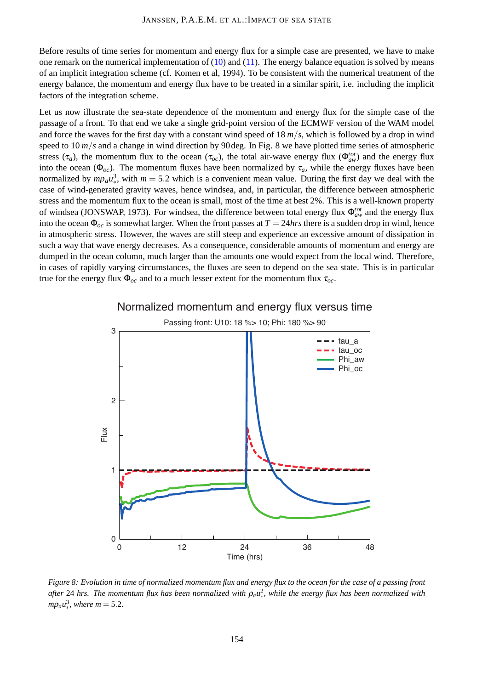Before results of time series for momentum and energy flux for a simple case are presented, we have to make one remark on the numerical implementation of  $(10)$  and  $(11)$ . The energy balance equation is solved by means of an implicit integration scheme (cf. Komen et al, 1994). To be consistent with the numerical treatment of the energy balance, the momentum and energy flux have to be treated in a similar spirit, i.e. including the implicit factors of the integration scheme.

Let us now illustrate the sea-state dependence of the momentum and energy flux for the simple case of the passage of a front. To that end we take a single grid-point version of the ECMWF version of the WAM model and force the waves for the first day with a constant wind speed of 18 *m*/*s*, which is followed by a drop in wind speed to 10  $m/s$  and a change in wind direction by 90 deg. In Fig. 8 we have plotted time series of atmospheric stress ( $\tau_a$ ), the momentum flux to the ocean ( $\tau_{oc}$ ), the total air-wave energy flux ( $\Phi_{aw}^{tot}$ ) and the energy flux into the ocean ( $\Phi_{oc}$ ). The momentum fluxes have been normalized by  $\tau_a$ , while the energy fluxes have been normalized by  $m\rho_a u_*^3$ , with  $m = 5.2$  which is a convenient mean value. During the first day we deal with the case of wind-generated gravity waves, hence windsea, and, in particular, the difference between atmospheric stress and the momentum flux to the ocean is small, most of the time at best 2%. This is a well-known property of windsea (JONSWAP, 1973). For windsea, the difference between total energy flux Φ*tot aw* and the energy flux into the ocean  $\Phi_{oc}$  is somewhat larger. When the front passes at  $T = 24 hrs$  there is a sudden drop in wind, hence in atmospheric stress. However, the waves are still steep and experience an excessive amount of dissipation in such a way that wave energy decreases. As a consequence, considerable amounts of momentum and energy are dumped in the ocean column, much larger than the amounts one would expect from the local wind. Therefore, in cases of rapidly varying circumstances, the fluxes are seen to depend on the sea state. This is in particular true for the energy flux  $\Phi_{oc}$  and to a much lesser extent for the momentum flux  $\tau_{oc}$ .



### Normalized momentum and energy flux versus time

*Figure 8: Evolution in time of normalized momentum flux and energy flux to the ocean for the case of a passing front* after 24 hrs. The momentum flux has been normalized with  $\rho_a u_*^2$ , while the energy flux has been normalized with  $m\rho_a u_*^3$ , where  $m = 5.2$ .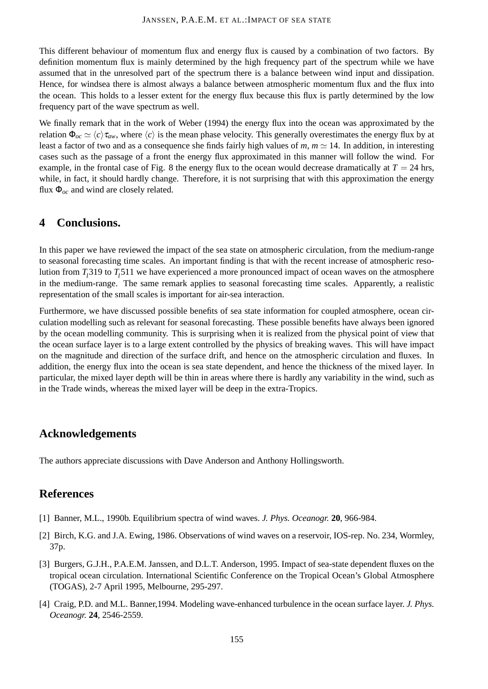This different behaviour of momentum flux and energy flux is caused by a combination of two factors. By definition momentum flux is mainly determined by the high frequency part of the spectrum while we have assumed that in the unresolved part of the spectrum there is a balance between wind input and dissipation. Hence, for windsea there is almost always a balance between atmospheric momentum flux and the flux into the ocean. This holds to a lesser extent for the energy flux because this flux is partly determined by the low frequency part of the wave spectrum as well.

We finally remark that in the work of Weber (1994) the energy flux into the ocean was approximated by the relation  $\Phi_{oc} \simeq \langle c \rangle \tau_{av}$ , where  $\langle c \rangle$  is the mean phase velocity. This generally overestimates the energy flux by at least a factor of two and as a consequence she finds fairly high values of  $m$ ,  $m \approx 14$ . In addition, in interesting cases such as the passage of a front the energy flux approximated in this manner will follow the wind. For example, in the frontal case of Fig. 8 the energy flux to the ocean would decrease dramatically at  $T = 24$  hrs, while, in fact, it should hardly change. Therefore, it is not surprising that with this approximation the energy flux Φ*oc* and wind are closely related.

# **4 Conclusions.**

In this paper we have reviewed the impact of the sea state on atmospheric circulation, from the medium-range to seasonal forecasting time scales. An important finding is that with the recent increase of atmospheric resolution from *T<sup>l</sup>* 319 to *T<sup>l</sup>* 511 we have experienced a more pronounced impact of ocean waves on the atmosphere in the medium-range. The same remark applies to seasonal forecasting time scales. Apparently, a realistic representation of the small scales is important for air-sea interaction.

Furthermore, we have discussed possible benefits of sea state information for coupled atmosphere, ocean circulation modelling such as relevant for seasonal forecasting. These possible benefits have always been ignored by the ocean modelling community. This is surprising when it is realized from the physical point of view that the ocean surface layer is to a large extent controlled by the physics of breaking waves. This will have impact on the magnitude and direction of the surface drift, and hence on the atmospheric circulation and fluxes. In addition, the energy flux into the ocean is sea state dependent, and hence the thickness of the mixed layer. In particular, the mixed layer depth will be thin in areas where there is hardly any variability in the wind, such as in the Trade winds, whereas the mixed layer will be deep in the extra-Tropics.

# **Acknowledgements**

The authors appreciate discussions with Dave Anderson and Anthony Hollingsworth.

# **References**

- [1] Banner, M.L., 1990b. Equilibrium spectra of wind waves. *J. Phys. Oceanogr.* **20**, 966-984.
- [2] Birch, K.G. and J.A. Ewing, 1986. Observations of wind waves on a reservoir, IOS-rep. No. 234, Wormley, 37p.
- [3] Burgers, G.J.H., P.A.E.M. Janssen, and D.L.T. Anderson, 1995. Impact of sea-state dependent fluxes on the tropical ocean circulation. International Scientific Conference on the Tropical Ocean's Global Atmosphere (TOGAS), 2-7 April 1995, Melbourne, 295-297.
- [4] Craig, P.D. and M.L. Banner,1994. Modeling wave-enhanced turbulence in the ocean surface layer. *J. Phys. Oceanogr.* **24**, 2546-2559.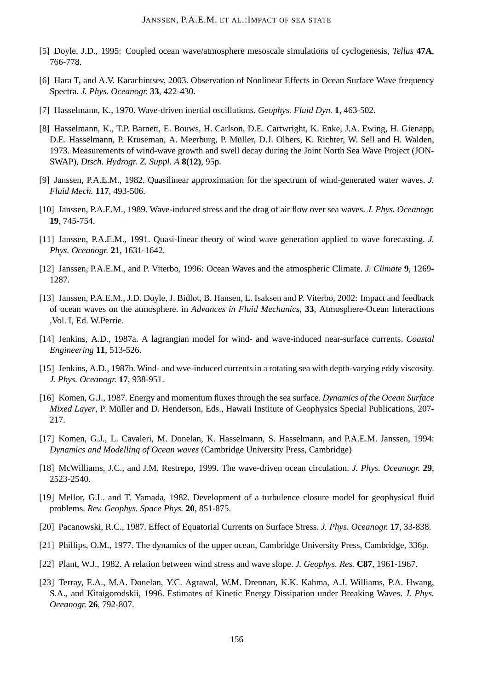- [5] Doyle, J.D., 1995: Coupled ocean wave/atmosphere mesoscale simulations of cyclogenesis, *Tellus* **47A**, 766-778.
- [6] Hara T, and A.V. Karachintsev, 2003. Observation of Nonlinear Effects in Ocean Surface Wave frequency Spectra. *J. Phys. Oceanogr.* **33**, 422-430.
- [7] Hasselmann, K., 1970. Wave-driven inertial oscillations. *Geophys. Fluid Dyn.* **1**, 463-502.
- [8] Hasselmann, K., T.P. Barnett, E. Bouws, H. Carlson, D.E. Cartwright, K. Enke, J.A. Ewing, H. Gienapp, D.E. Hasselmann, P. Kruseman, A. Meerburg, P. Müller, D.J. Olbers, K. Richter, W. Sell and H. Walden, 1973. Measurements of wind-wave growth and swell decay during the Joint North Sea Wave Project (JON-SWAP), *Dtsch. Hydrogr. Z. Suppl. A* **8(12)**, 95p.
- [9] Janssen, P.A.E.M., 1982. Quasilinear approximation for the spectrum of wind-generated water waves. *J. Fluid Mech.* **117**, 493-506.
- [10] Janssen, P.A.E.M., 1989. Wave-induced stress and the drag of air flow over sea waves. *J. Phys. Oceanogr.* **19**, 745-754.
- [11] Janssen, P.A.E.M., 1991. Quasi-linear theory of wind wave generation applied to wave forecasting. *J. Phys. Oceanogr.* **21**, 1631-1642.
- [12] Janssen, P.A.E.M., and P. Viterbo, 1996: Ocean Waves and the atmospheric Climate. *J. Climate* **9**, 1269- 1287.
- [13] Janssen, P.A.E.M., J.D. Doyle, J. Bidlot, B. Hansen, L. Isaksen and P. Viterbo, 2002: Impact and feedback of ocean waves on the atmosphere. in *Advances in Fluid Mechanics*, **33**, Atmosphere-Ocean Interactions ,Vol. I, Ed. W.Perrie.
- [14] Jenkins, A.D., 1987a. A lagrangian model for wind- and wave-induced near-surface currents. *Coastal Engineering* **11**, 513-526.
- [15] Jenkins, A.D., 1987b. Wind- and wve-induced currents in a rotating sea with depth-varying eddy viscosity. *J. Phys. Oceanogr.* **17**, 938-951.
- [16] Komen, G.J., 1987. Energy and momentum fluxes through the sea surface. *Dynamics of the Ocean Surface Mixed Layer*, P. Müller and D. Henderson, Eds., Hawaii Institute of Geophysics Special Publications, 207-217.
- [17] Komen, G.J., L. Cavaleri, M. Donelan, K. Hasselmann, S. Hasselmann, and P.A.E.M. Janssen, 1994: *Dynamics and Modelling of Ocean waves* (Cambridge University Press, Cambridge)
- [18] McWilliams, J.C., and J.M. Restrepo, 1999. The wave-driven ocean circulation. *J. Phys. Oceanogr.* **29**, 2523-2540.
- [19] Mellor, G.L. and T. Yamada, 1982. Development of a turbulence closure model for geophysical fluid problems. *Rev. Geophys. Space Phys.* **20**, 851-875.
- [20] Pacanowski, R.C., 1987. Effect of Equatorial Currents on Surface Stress. *J. Phys. Oceanogr.* **17**, 33-838.
- [21] Phillips, O.M., 1977. The dynamics of the upper ocean, Cambridge University Press, Cambridge, 336p.
- [22] Plant, W.J., 1982. A relation between wind stress and wave slope. *J. Geophys. Res.* **C87**, 1961-1967.
- [23] Terray, E.A., M.A. Donelan, Y.C. Agrawal, W.M. Drennan, K.K. Kahma, A.J. Williams, P.A. Hwang, S.A., and Kitaigorodskii, 1996. Estimates of Kinetic Energy Dissipation under Breaking Waves. *J. Phys. Oceanogr.* **26**, 792-807.